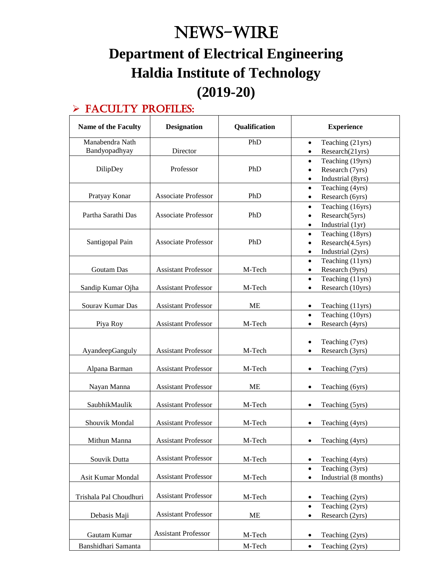# News-WIRE **Department of Electrical Engineering Haldia Institute of Technology (2019-20)**

#### > FACULTY PROFILES:

| <b>Name of the Faculty</b>       | <b>Designation</b>         | Qualification | <b>Experience</b>                                                                                |
|----------------------------------|----------------------------|---------------|--------------------------------------------------------------------------------------------------|
| Manabendra Nath<br>Bandyopadhyay | Director                   | PhD           | Teaching (21yrs)<br>$\bullet$<br>Research(21yrs)<br>$\bullet$                                    |
| DilipDey                         | Professor                  | PhD           | Teaching (19yrs)<br>$\bullet$<br>Research (7yrs)<br>$\bullet$<br>Industrial (8yrs)<br>$\bullet$  |
| Pratyay Konar                    | <b>Associate Professor</b> | PhD           | Teaching (4yrs)<br>$\bullet$<br>Research (6yrs)<br>$\bullet$                                     |
| Partha Sarathi Das               | <b>Associate Professor</b> | PhD           | Teaching (16yrs)<br>$\bullet$<br>Research(5yrs)<br>$\bullet$<br>Industrial (1yr)<br>$\bullet$    |
| Santigopal Pain                  | <b>Associate Professor</b> | PhD           | Teaching (18yrs)<br>$\bullet$<br>Research(4.5yrs)<br>$\bullet$<br>Industrial (2yrs)<br>$\bullet$ |
| Goutam Das                       | <b>Assistant Professor</b> | M-Tech        | Teaching (11yrs)<br>$\bullet$<br>Research (9yrs)<br>$\bullet$                                    |
| Sandip Kumar Ojha                | <b>Assistant Professor</b> | M-Tech        | Teaching (11yrs)<br>$\bullet$<br>Research (10yrs)<br>$\bullet$                                   |
| Sourav Kumar Das                 | <b>Assistant Professor</b> | ME            | Teaching (11yrs)<br>$\bullet$<br>Teaching (10yrs)<br>$\bullet$                                   |
| Piya Roy                         | <b>Assistant Professor</b> | M-Tech        | Research (4yrs)<br>$\bullet$                                                                     |
| AyandeepGanguly                  | <b>Assistant Professor</b> | M-Tech        | Teaching (7yrs)<br>$\bullet$<br>Research (3yrs)<br>$\bullet$                                     |
| Alpana Barman                    | <b>Assistant Professor</b> | M-Tech        | Teaching (7yrs)<br>$\bullet$                                                                     |
| Nayan Manna                      | <b>Assistant Professor</b> | <b>ME</b>     | Teaching (6yrs)<br>$\bullet$                                                                     |
| SaubhikMaulik                    | <b>Assistant Professor</b> | M-Tech        | Teaching (5yrs)<br>$\bullet$                                                                     |
| Shouvik Mondal                   | <b>Assistant Professor</b> | M-Tech        | Teaching (4yrs)<br>$\bullet$                                                                     |
| Mithun Manna                     | <b>Assistant Professor</b> | M-Tech        | Teaching (4yrs)<br>$\bullet$                                                                     |
| Souvik Dutta                     | <b>Assistant Professor</b> | M-Tech        | Teaching (4yrs)<br>$\bullet$                                                                     |
| Asit Kumar Mondal                | <b>Assistant Professor</b> | M-Tech        | Teaching (3yrs)<br>$\bullet$<br>Industrial (8 months)<br>$\bullet$                               |
| Trishala Pal Choudhuri           | <b>Assistant Professor</b> | M-Tech        | Teaching (2yrs)<br>$\bullet$                                                                     |
| Debasis Maji                     | <b>Assistant Professor</b> | <b>ME</b>     | Teaching (2yrs)<br>$\bullet$<br>Research (2yrs)<br>$\bullet$                                     |
| Gautam Kumar                     | <b>Assistant Professor</b> | M-Tech        | Teaching (2yrs)<br>$\bullet$                                                                     |
| Banshidhari Samanta              |                            | M-Tech        | Teaching (2yrs)<br>$\bullet$                                                                     |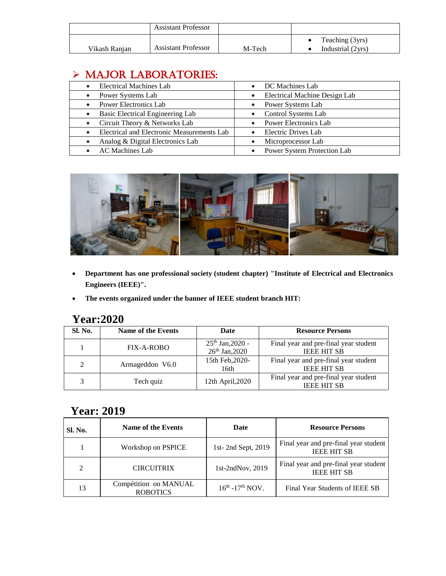|               | <b>Assistant Professor</b> |        |                                      |
|---------------|----------------------------|--------|--------------------------------------|
| Vikash Ranian | <b>Assistant Professor</b> | M-Tech | Teaching (3yrs)<br>Industrial (2yrs) |

### > MAJOR LABORATORIES:

| <b>Electrical Machines Lab</b>             | DC Machines Lab<br>$\bullet$               |
|--------------------------------------------|--------------------------------------------|
| Power Systems Lab                          | Electrical Machine Design Lab<br>$\bullet$ |
| <b>Power Electronics Lab</b>               | Power Systems Lab<br>$\bullet$             |
| Basic Electrical Engineering Lab           | Control Systems Lab                        |
| Circuit Theory & Networks Lab              | <b>Power Electronics Lab</b>               |
| Electrical and Electronic Measurements Lab | Electric Drives Lab                        |
| Analog & Digital Electronics Lab           | Microprocessor Lab                         |
| <b>AC</b> Machines Lab                     | Power System Protection Lab                |



- **Department has one professional society (student chapter) "Institute of Electrical and Electronics Engineers (IEEE)".**
- **The events organized under the banner of IEEE student branch HIT:**

#### **Year:2020**

| Sl. No.        | <b>Name of the Events</b> | Date                                 | <b>Resource Persons</b>                                     |
|----------------|---------------------------|--------------------------------------|-------------------------------------------------------------|
|                | FIX-A-ROBO                | $25th$ Jan, 2020 -<br>26th Jan, 2020 | Final year and pre-final year student<br><b>IEEE HIT SB</b> |
| $\mathfrak{D}$ | Armageddon V6.0           | 15th Feb, 2020-<br>16th              | Final year and pre-final year student<br><b>IEEE HIT SB</b> |
|                | Tech quiz                 | 12th April, 2020                     | Final year and pre-final year student<br><b>IEEE HIT SB</b> |

#### **Year: 2019**

| Sl. No.        | Name of the Events                       | Date                             | <b>Resource Persons</b>                                     |
|----------------|------------------------------------------|----------------------------------|-------------------------------------------------------------|
|                | Workshop on PSPICE                       | 1st-2nd Sept, 2019               | Final year and pre-final year student<br><b>IEEE HIT SB</b> |
| $\mathfrak{D}$ | <b>CIRCUITRIX</b>                        | 1st-2ndNov, 2019                 | Final year and pre-final year student<br><b>IEEE HIT SB</b> |
| 13             | Compétition on MANUAL<br><b>ROBOTICS</b> | $16^{th}$ -17 <sup>th</sup> NOV. | Final Year Students of IEEE SB                              |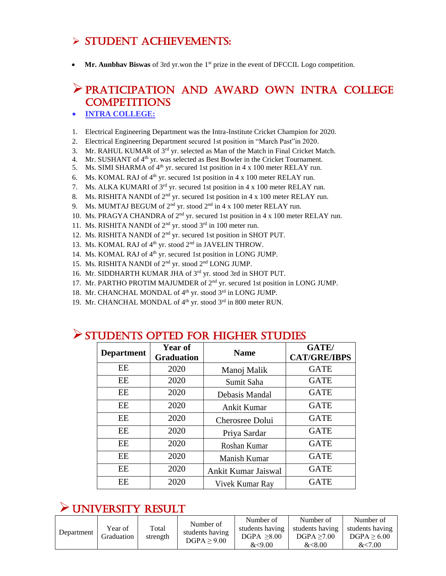#### $\triangleright$  STUDENT ACHIEVEMENTS:

**Mr. Aunbhav Biswas** of 3rd yr.won the 1<sup>st</sup> prize in the event of DFCCIL Logo competition.

#### PRATICIPATION AND AWARD OWN INTRA COLLEGE **COMPETITIONS**

- **INTRA COLLEGE:**
- 1. Electrical Engineering Department was the Intra-Institute Cricket Champion for 2020.
- 2. Electrical Engineering Department secured 1st position in "March Past"in 2020.
- 3. Mr. RAHUL KUMAR of 3rd yr. selected as Man of the Match in Final Cricket Match.
- 4. Mr. SUSHANT of 4<sup>th</sup> yr. was selected as Best Bowler in the Cricket Tournament.
- 5. Ms. SIMI SHARMA of  $4<sup>th</sup>$  yr. secured 1st position in 4 x 100 meter RELAY run.
- 6. Ms. KOMAL RAJ of  $4<sup>th</sup>$  yr. secured 1st position in 4 x 100 meter RELAY run.
- 7. Ms. ALKA KUMARI of 3<sup>rd</sup> yr. secured 1st position in 4 x 100 meter RELAY run.
- 8. Ms. RISHITA NANDI of  $2<sup>nd</sup>$  yr. secured 1st position in 4 x 100 meter RELAY run.
- 9. Ms. MUMTAJ BEGUM of 2<sup>nd</sup> yr. stood 2<sup>nd</sup> in 4 x 100 meter RELAY run.
- 10. Ms. PRAGYA CHANDRA of 2<sup>nd</sup> yr. secured 1st position in 4 x 100 meter RELAY run.
- 11. Ms. RISHITA NANDI of 2nd yr. stood 3rd in 100 meter run.
- 12. Ms. RISHITA NANDI of 2nd yr. secured 1st position in SHOT PUT.
- 13. Ms. KOMAL RAJ of 4<sup>th</sup> yr. stood 2<sup>nd</sup> in JAVELIN THROW.
- 14. Ms. KOMAL RAJ of 4<sup>th</sup> yr. secured 1st position in LONG JUMP.
- 15. Ms. RISHITA NANDI of 2nd yr. stood 2nd LONG JUMP.
- 16. Mr. SIDDHARTH KUMAR JHA of 3<sup>rd</sup> yr. stood 3rd in SHOT PUT.
- 17. Mr. PARTHO PROTIM MAJUMDER of 2<sup>nd</sup> yr. secured 1st position in LONG JUMP.
- 18. Mr. CHANCHAL MONDAL of 4<sup>th</sup> yr. stood 3<sup>rd</sup> in LONG JUMP.
- 19. Mr. CHANCHAL MONDAL of  $4<sup>th</sup>$  yr. stood  $3<sup>rd</sup>$  in 800 meter RUN.

| <b>Department</b> | Year of<br><b>Graduation</b> | <b>Name</b>         | <b>GATE</b> /<br><b>CAT/GRE/IBPS</b> |
|-------------------|------------------------------|---------------------|--------------------------------------|
| EE                | 2020                         | Manoj Malik         | <b>GATE</b>                          |
| EE                | 2020                         | Sumit Saha          | <b>GATE</b>                          |
| EE                | 2020                         | Debasis Mandal      | <b>GATE</b>                          |
| EE                | 2020                         | <b>Ankit Kumar</b>  | <b>GATE</b>                          |
| EE                | 2020                         | Cherosree Dolui     | <b>GATE</b>                          |
| EE                | 2020                         | Priya Sardar        | <b>GATE</b>                          |
| EE                | 2020                         | Roshan Kumar        | <b>GATE</b>                          |
| EE                | 2020                         | Manish Kumar        | <b>GATE</b>                          |
| EE                | 2020                         | Ankit Kumar Jaiswal | <b>GATE</b>                          |
| EE                | 2020                         | Vivek Kumar Ray     | <b>GATE</b>                          |

#### STUDENTS OPTED FOR HIGHER STUDIES

#### UNIVERSITY RESULT

|            |                       |                   |                                             | Number of                      | Number of                      | Number of                      |
|------------|-----------------------|-------------------|---------------------------------------------|--------------------------------|--------------------------------|--------------------------------|
| Department | Year of<br>Graduation | Total<br>strength | Number of<br>students having<br>DGPA > 9.00 | students having<br>DGPA > 8.00 | students having<br>DGPA > 7.00 | students having<br>DGPA > 6.00 |
|            |                       |                   |                                             | <9.00                          | <8.00                          | <7.00                          |